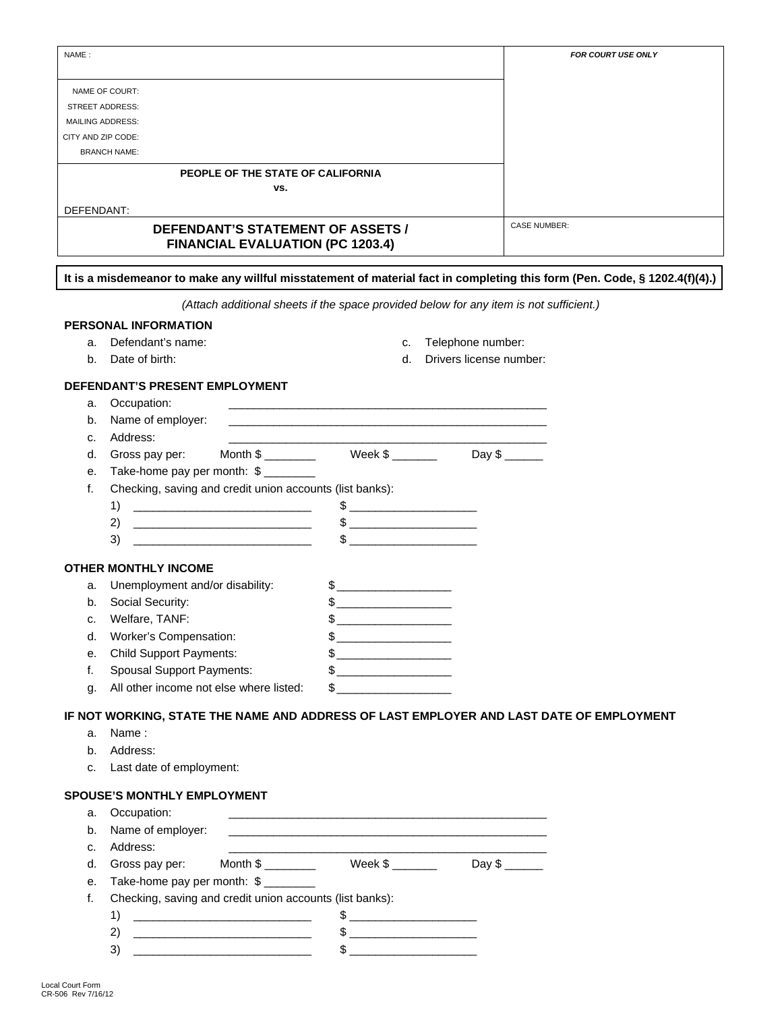| NAME:      |                                                                                                                            |                                                                                                                                                                                                                                                                                                                                                                     |                                              | FOR COURT USE ONLY |
|------------|----------------------------------------------------------------------------------------------------------------------------|---------------------------------------------------------------------------------------------------------------------------------------------------------------------------------------------------------------------------------------------------------------------------------------------------------------------------------------------------------------------|----------------------------------------------|--------------------|
|            | NAME OF COURT:                                                                                                             |                                                                                                                                                                                                                                                                                                                                                                     |                                              |                    |
|            | <b>STREET ADDRESS:</b>                                                                                                     |                                                                                                                                                                                                                                                                                                                                                                     |                                              |                    |
|            | <b>MAILING ADDRESS:</b>                                                                                                    |                                                                                                                                                                                                                                                                                                                                                                     |                                              |                    |
|            | CITY AND ZIP CODE:                                                                                                         |                                                                                                                                                                                                                                                                                                                                                                     |                                              |                    |
|            | <b>BRANCH NAME:</b>                                                                                                        |                                                                                                                                                                                                                                                                                                                                                                     |                                              |                    |
|            | PEOPLE OF THE STATE OF CALIFORNIA                                                                                          |                                                                                                                                                                                                                                                                                                                                                                     |                                              |                    |
|            | VS.                                                                                                                        |                                                                                                                                                                                                                                                                                                                                                                     |                                              |                    |
| DEFENDANT: |                                                                                                                            |                                                                                                                                                                                                                                                                                                                                                                     |                                              |                    |
|            | DEFENDANT'S STATEMENT OF ASSETS /                                                                                          | <b>CASE NUMBER:</b>                                                                                                                                                                                                                                                                                                                                                 |                                              |                    |
|            | <b>FINANCIAL EVALUATION (PC 1203.4)</b>                                                                                    |                                                                                                                                                                                                                                                                                                                                                                     |                                              |                    |
|            | It is a misdemeanor to make any willful misstatement of material fact in completing this form (Pen. Code, § 1202.4(f)(4).) |                                                                                                                                                                                                                                                                                                                                                                     |                                              |                    |
|            | (Attach additional sheets if the space provided below for any item is not sufficient.)                                     |                                                                                                                                                                                                                                                                                                                                                                     |                                              |                    |
|            | <b>PERSONAL INFORMATION</b>                                                                                                |                                                                                                                                                                                                                                                                                                                                                                     |                                              |                    |
|            | Defendant's name:                                                                                                          |                                                                                                                                                                                                                                                                                                                                                                     |                                              |                    |
| a.<br>b.   | Date of birth:                                                                                                             | C.<br>d.                                                                                                                                                                                                                                                                                                                                                            | Telephone number:<br>Drivers license number: |                    |
|            |                                                                                                                            |                                                                                                                                                                                                                                                                                                                                                                     |                                              |                    |
|            | DEFENDANT'S PRESENT EMPLOYMENT                                                                                             |                                                                                                                                                                                                                                                                                                                                                                     |                                              |                    |
| a.         | Occupation:                                                                                                                |                                                                                                                                                                                                                                                                                                                                                                     |                                              |                    |
| b.         | Name of employer:                                                                                                          |                                                                                                                                                                                                                                                                                                                                                                     |                                              |                    |
| c.         | Address:                                                                                                                   |                                                                                                                                                                                                                                                                                                                                                                     |                                              |                    |
| d.         | Gross pay per:                                                                                                             |                                                                                                                                                                                                                                                                                                                                                                     |                                              |                    |
| е.         | Take-home pay per month: \$                                                                                                |                                                                                                                                                                                                                                                                                                                                                                     |                                              |                    |
| f.         | Checking, saving and credit union accounts (list banks):                                                                   |                                                                                                                                                                                                                                                                                                                                                                     |                                              |                    |
|            | 1)                                                                                                                         |                                                                                                                                                                                                                                                                                                                                                                     |                                              |                    |
|            | 2)<br><u> 1989 - Jan James James Barbara, martin da k</u>                                                                  |                                                                                                                                                                                                                                                                                                                                                                     |                                              |                    |
|            | 3)                                                                                                                         | $\frac{1}{2}$                                                                                                                                                                                                                                                                                                                                                       |                                              |                    |
|            | <b>OTHER MONTHLY INCOME</b>                                                                                                |                                                                                                                                                                                                                                                                                                                                                                     |                                              |                    |
| a.         | Unemployment and/or disability:                                                                                            |                                                                                                                                                                                                                                                                                                                                                                     |                                              |                    |
| b.         | Social Security:                                                                                                           |                                                                                                                                                                                                                                                                                                                                                                     |                                              |                    |
|            | Welfare, TANF:                                                                                                             | $\frac{1}{2}$                                                                                                                                                                                                                                                                                                                                                       |                                              |                    |
| c.<br>d.   | Worker's Compensation:                                                                                                     |                                                                                                                                                                                                                                                                                                                                                                     |                                              |                    |
|            | <b>Child Support Payments:</b>                                                                                             |                                                                                                                                                                                                                                                                                                                                                                     |                                              |                    |
| е.         |                                                                                                                            |                                                                                                                                                                                                                                                                                                                                                                     |                                              |                    |
| f.         | <b>Spousal Support Payments:</b>                                                                                           | $\quad \  \  \, {\sf S} \underline{\hspace{1.5cm}} \qquad \qquad \  \  \, \underline{\hspace{1.5cm}}$                                                                                                                                                                                                                                                               |                                              |                    |
| g.         | All other income not else where listed:                                                                                    |                                                                                                                                                                                                                                                                                                                                                                     |                                              |                    |
|            | IF NOT WORKING, STATE THE NAME AND ADDRESS OF LAST EMPLOYER AND LAST DATE OF EMPLOYMENT                                    |                                                                                                                                                                                                                                                                                                                                                                     |                                              |                    |
| a.         | Name:                                                                                                                      |                                                                                                                                                                                                                                                                                                                                                                     |                                              |                    |
| b.         | Address:                                                                                                                   |                                                                                                                                                                                                                                                                                                                                                                     |                                              |                    |
| c.         | Last date of employment:                                                                                                   |                                                                                                                                                                                                                                                                                                                                                                     |                                              |                    |
|            | <b>SPOUSE'S MONTHLY EMPLOYMENT</b>                                                                                         |                                                                                                                                                                                                                                                                                                                                                                     |                                              |                    |
| a.         | Occupation:                                                                                                                | and the control of the control of the control of the control of the control of the control of the control of the                                                                                                                                                                                                                                                    |                                              |                    |
| b.         | Name of employer:                                                                                                          |                                                                                                                                                                                                                                                                                                                                                                     |                                              |                    |
| c.         | Address:                                                                                                                   |                                                                                                                                                                                                                                                                                                                                                                     |                                              |                    |
| d.         | Gross pay per:                                                                                                             |                                                                                                                                                                                                                                                                                                                                                                     |                                              |                    |
| е.         | Take-home pay per month: \$                                                                                                |                                                                                                                                                                                                                                                                                                                                                                     |                                              |                    |
| f.         | Checking, saving and credit union accounts (list banks):                                                                   |                                                                                                                                                                                                                                                                                                                                                                     |                                              |                    |
|            | 1)                                                                                                                         |                                                                                                                                                                                                                                                                                                                                                                     |                                              |                    |
|            | 2)<br><u> 1990 - Johann Barbara, martin a</u>                                                                              | $\frac{1}{2}$                                                                                                                                                                                                                                                                                                                                                       |                                              |                    |
|            | 3)                                                                                                                         | $\begin{picture}(20,10) \put(0,0){\vector(1,0){100}} \put(15,0){\vector(1,0){100}} \put(15,0){\vector(1,0){100}} \put(15,0){\vector(1,0){100}} \put(15,0){\vector(1,0){100}} \put(15,0){\vector(1,0){100}} \put(15,0){\vector(1,0){100}} \put(15,0){\vector(1,0){100}} \put(15,0){\vector(1,0){100}} \put(15,0){\vector(1,0){100}} \put(15,0){\vector(1,0){100}} \$ |                                              |                    |
|            |                                                                                                                            |                                                                                                                                                                                                                                                                                                                                                                     |                                              |                    |